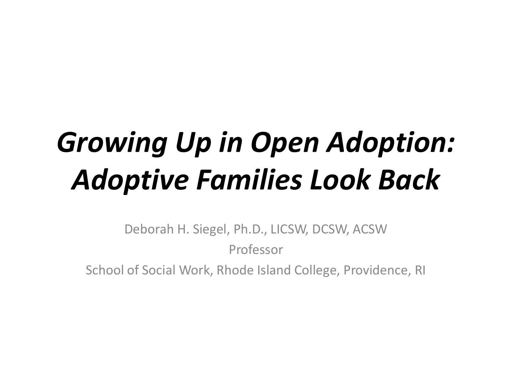# *Growing Up in Open Adoption: Adoptive Families Look Back*

Deborah H. Siegel, Ph.D., LICSW, DCSW, ACSW Professor

School of Social Work, Rhode Island College, Providence, RI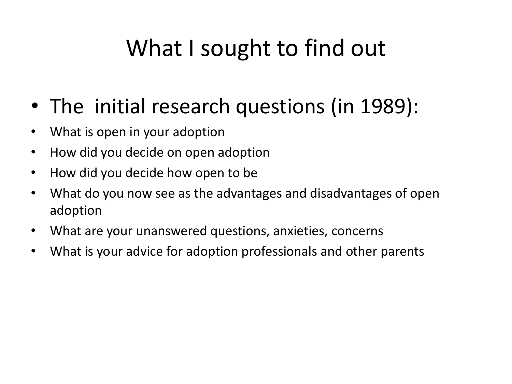#### What I sought to find out

- The initial research questions (in 1989):
- What is open in your adoption
- How did you decide on open adoption
- How did you decide how open to be
- What do you now see as the advantages and disadvantages of open adoption
- What are your unanswered questions, anxieties, concerns
- What is your advice for adoption professionals and other parents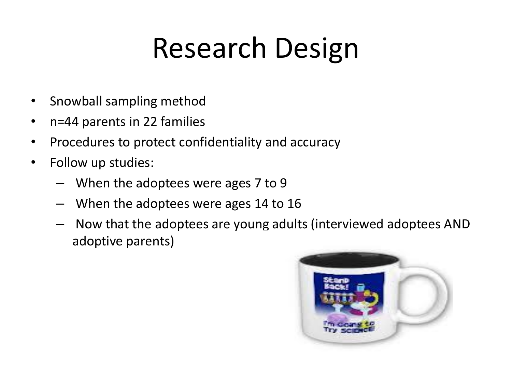# Research Design

- Snowball sampling method
- n=44 parents in 22 families
- Procedures to protect confidentiality and accuracy
- Follow up studies:
	- When the adoptees were ages 7 to 9
	- When the adoptees were ages 14 to 16
	- Now that the adoptees are young adults (interviewed adoptees AND adoptive parents)

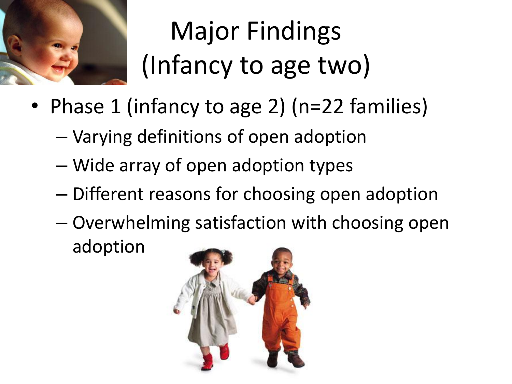

Major Findings (Infancy to age two)

- Phase 1 (infancy to age 2) (n=22 families)
	- Varying definitions of open adoption
	- Wide array of open adoption types
	- Different reasons for choosing open adoption
	- Overwhelming satisfaction with choosing open adoption

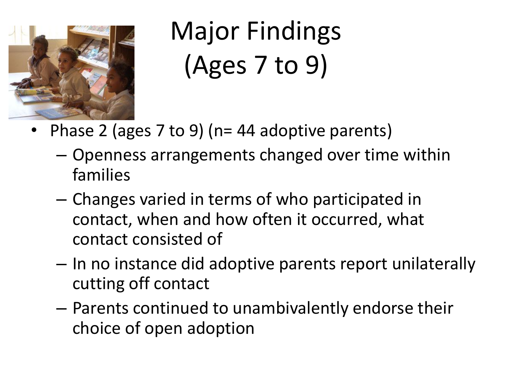

Major Findings (Ages 7 to 9)

- Phase 2 (ages 7 to 9) (n= 44 adoptive parents)
	- Openness arrangements changed over time within families
	- Changes varied in terms of who participated in contact, when and how often it occurred, what contact consisted of
	- In no instance did adoptive parents report unilaterally cutting off contact
	- Parents continued to unambivalently endorse their choice of open adoption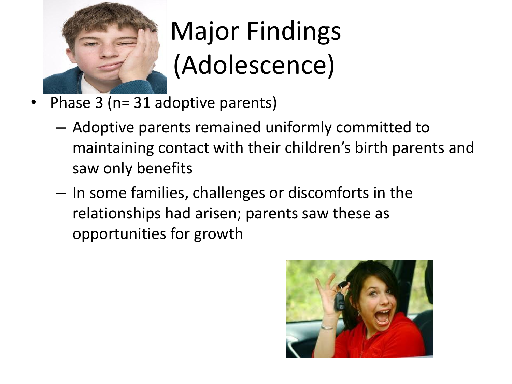

# Major Findings (Adolescence)

- Phase 3 (n= 31 adoptive parents)
	- Adoptive parents remained uniformly committed to maintaining contact with their children's birth parents and saw only benefits
	- In some families, challenges or discomforts in the relationships had arisen; parents saw these as opportunities for growth

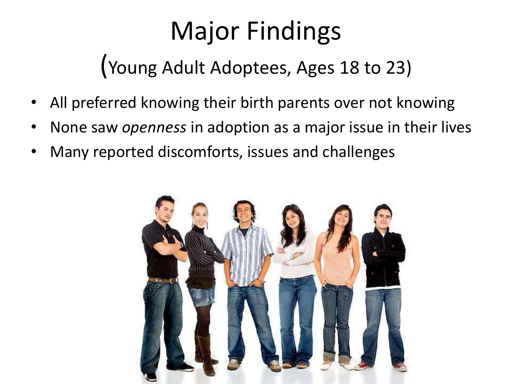### Major Findings

(Young Adult Adoptees, Ages 18 to 23)

- All preferred knowing their birth parents over not knowing
- None saw *openness* in adoption as a major issue in their lives
- Many reported discomforts, issues and challenges

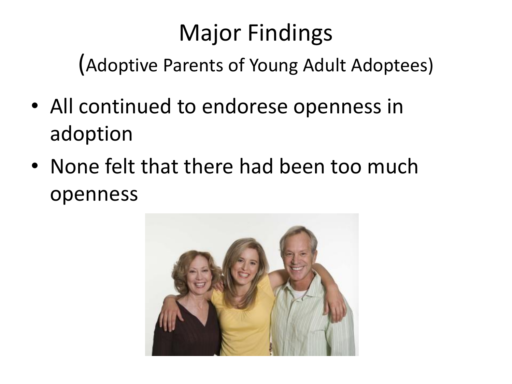#### Major Findings

(Adoptive Parents of Young Adult Adoptees)

- All continued to endorese openness in adoption
- None felt that there had been too much openness

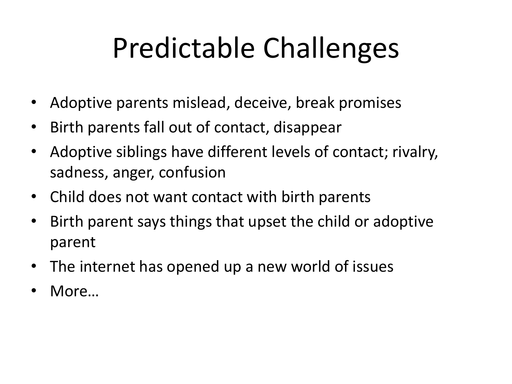# Predictable Challenges

- Adoptive parents mislead, deceive, break promises
- Birth parents fall out of contact, disappear
- Adoptive siblings have different levels of contact; rivalry, sadness, anger, confusion
- Child does not want contact with birth parents
- Birth parent says things that upset the child or adoptive parent
- The internet has opened up a new world of issues
- More...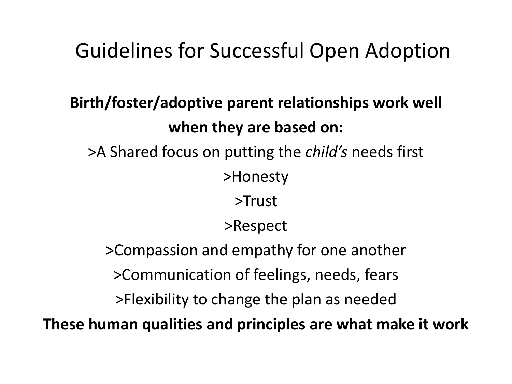#### Guidelines for Successful Open Adoption

#### **Birth/foster/adoptive parent relationships work well when they are based on:** >A Shared focus on putting the *child's* needs first >Honesty >Trust >Respect >Compassion and empathy for one another >Communication of feelings, needs, fears >Flexibility to change the plan as needed

**These human qualities and principles are what make it work**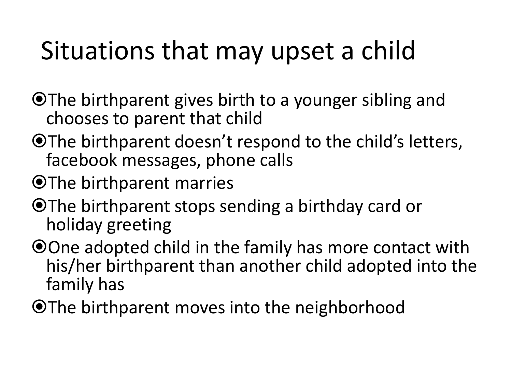### Situations that may upset a child

- O The birthparent gives birth to a younger sibling and chooses to parent that child
- OThe birthparent doesn't respond to the child's letters, facebook messages, phone calls
- OThe birthparent marries
- O The birthparent stops sending a birthday card or holiday greeting
- O One adopted child in the family has more contact with his/her birthparent than another child adopted into the family has
- O The birthparent moves into the neighborhood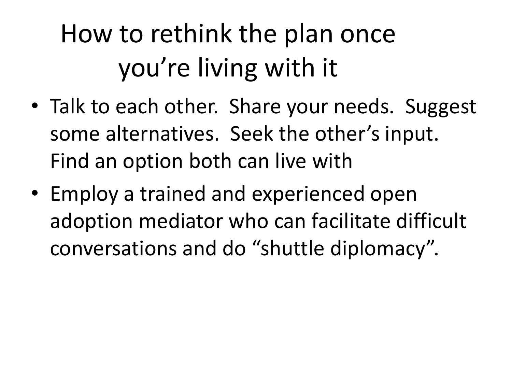# How to rethink the plan once you're living with it

- Talk to each other. Share your needs. Suggest some alternatives. Seek the other's input. Find an option both can live with
- Employ a trained and experienced open adoption mediator who can facilitate difficult conversations and do "shuttle diplomacy".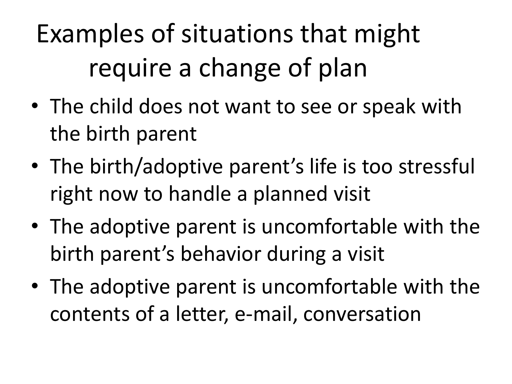Examples of situations that might require a change of plan

- The child does not want to see or speak with the birth parent
- The birth/adoptive parent's life is too stressful right now to handle a planned visit
- The adoptive parent is uncomfortable with the birth parent's behavior during a visit
- The adoptive parent is uncomfortable with the contents of a letter, e-mail, conversation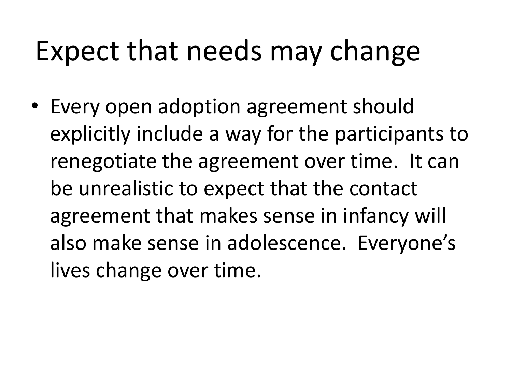## Expect that needs may change

• Every open adoption agreement should explicitly include a way for the participants to renegotiate the agreement over time. It can be unrealistic to expect that the contact agreement that makes sense in infancy will also make sense in adolescence. Everyone's lives change over time.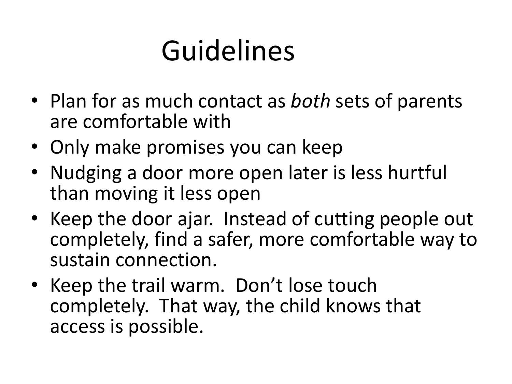# Guidelines

- Plan for as much contact as *both* sets of parents are comfortable with
- Only make promises you can keep
- Nudging a door more open later is less hurtful than moving it less open
- Keep the door ajar. Instead of cutting people out completely, find a safer, more comfortable way to sustain connection.
- Keep the trail warm. Don't lose touch completely. That way, the child knows that access is possible.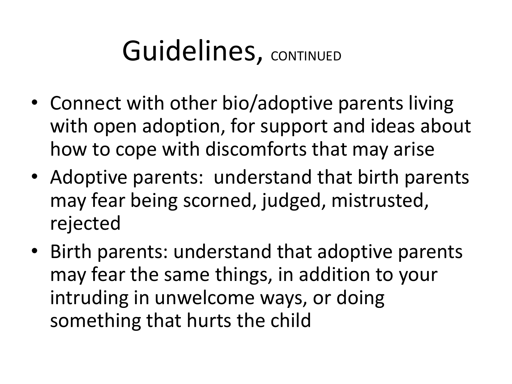# Guidelines, CONTINUED

- Connect with other bio/adoptive parents living with open adoption, for support and ideas about how to cope with discomforts that may arise
- Adoptive parents: understand that birth parents may fear being scorned, judged, mistrusted, rejected
- Birth parents: understand that adoptive parents may fear the same things, in addition to your intruding in unwelcome ways, or doing something that hurts the child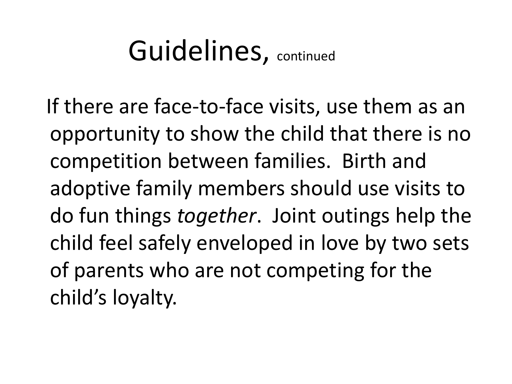## Guidelines, continued

 If there are face-to-face visits, use them as an opportunity to show the child that there is no competition between families. Birth and adoptive family members should use visits to do fun things *together*. Joint outings help the child feel safely enveloped in love by two sets of parents who are not competing for the child's loyalty.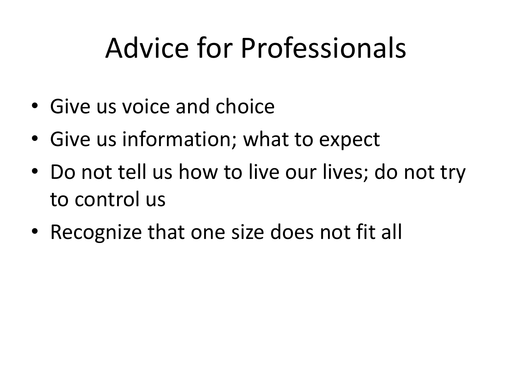# Advice for Professionals

- Give us voice and choice
- Give us information; what to expect
- Do not tell us how to live our lives; do not try to control us
- Recognize that one size does not fit all